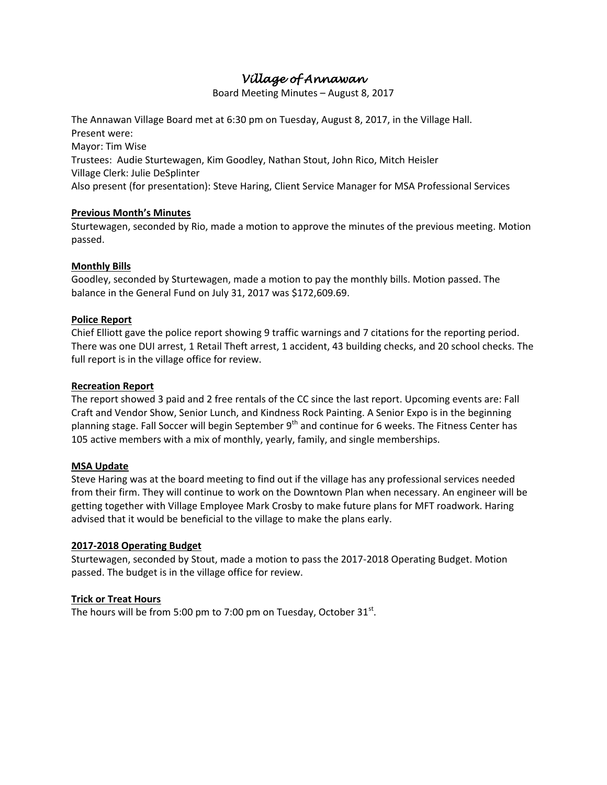# *Village of Annawan*

Board Meeting Minutes – August 8, 2017

The Annawan Village Board met at 6:30 pm on Tuesday, August 8, 2017, in the Village Hall. Present were: Mayor: Tim Wise Trustees: Audie Sturtewagen, Kim Goodley, Nathan Stout, John Rico, Mitch Heisler

Village Clerk: Julie DeSplinter

Also present (for presentation): Steve Haring, Client Service Manager for MSA Professional Services

# **Previous Month's Minutes**

Sturtewagen, seconded by Rio, made a motion to approve the minutes of the previous meeting. Motion passed.

# **Monthly Bills**

Goodley, seconded by Sturtewagen, made a motion to pay the monthly bills. Motion passed. The balance in the General Fund on July 31, 2017 was \$172,609.69.

# **Police Report**

Chief Elliott gave the police report showing 9 traffic warnings and 7 citations for the reporting period. There was one DUI arrest, 1 Retail Theft arrest, 1 accident, 43 building checks, and 20 school checks. The full report is in the village office for review.

### **Recreation Report**

The report showed 3 paid and 2 free rentals of the CC since the last report. Upcoming events are: Fall Craft and Vendor Show, Senior Lunch, and Kindness Rock Painting. A Senior Expo is in the beginning planning stage. Fall Soccer will begin September  $9<sup>th</sup>$  and continue for 6 weeks. The Fitness Center has 105 active members with a mix of monthly, yearly, family, and single memberships.

### **MSA Update**

Steve Haring was at the board meeting to find out if the village has any professional services needed from their firm. They will continue to work on the Downtown Plan when necessary. An engineer will be getting together with Village Employee Mark Crosby to make future plans for MFT roadwork. Haring advised that it would be beneficial to the village to make the plans early.

### **2017-2018 Operating Budget**

Sturtewagen, seconded by Stout, made a motion to pass the 2017-2018 Operating Budget. Motion passed. The budget is in the village office for review.

# **Trick or Treat Hours**

The hours will be from 5:00 pm to 7:00 pm on Tuesday, October  $31^{st}$ .